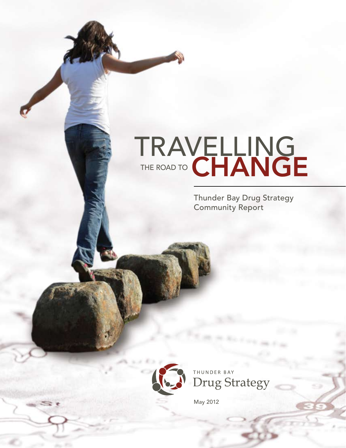# TRAVELLING THE ROAD TO CHANGE

Thunder Bay Drug Strategy Community Report



THUNDER BAY **Drug Strategy** 

May 2012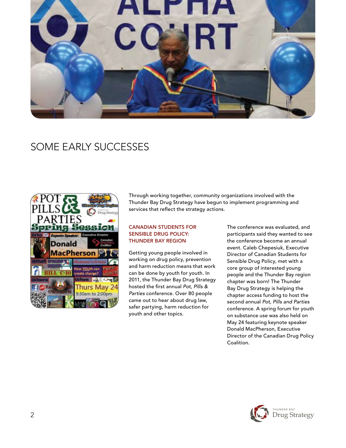

# SOME EARLY SUCCESSES



Through working together, community organizations involved with the Thunder Bay Drug Strategy have begun to implement programming and services that reflect the strategy actions.

#### Canadian Students for Sensible Drug Policy: Thunder Bay Region

Getting young people involved in working on drug policy, prevention and harm reduction means that work can be done by youth for youth. In 2011, the Thunder Bay Drug Strategy hosted the first annual *Pot, Pills & Parties* conference. Over 80 people came out to hear about drug law, safer partying, harm reduction for youth and other topics.

The conference was evaluated, and participants said they wanted to see the conference become an annual event. Caleb Chepesiuk, Executive Director of Canadian Students for Sensible Drug Policy, met with a core group of interested young people and the Thunder Bay region chapter was born! The Thunder Bay Drug Strategy is helping the chapter access funding to host the second annual *Pot, Pills and Parties* conference. A spring forum for youth on substance use was also held on May 24 featuring keynote speaker Donald MacPherson, Executive Director of the Canadian Drug Policy Coalition.

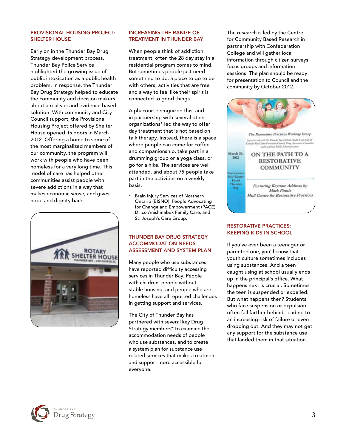#### Provisional Housing Project: Shelter House

Early on in the Thunder Bay Drug Strategy development process, Thunder Bay Police Service highlighted the growing issue of public intoxication as a public health problem. In response, the Thunder Bay Drug Strategy helped to educate the community and decision makers about a realistic and evidence based solution. With community and City Council support, the Provisional Housing Project offered by Shelter House opened its doors in March 2012. Offering a home to some of the most marginalized members of our community, the program will work with people who have been homeless for a very long time. This model of care has helped other communities assist people with severe addictions in a way that makes economic sense, and gives hope and dignity back.



# Increasing the range of treatment in Thunder Bay

When people think of addiction treatment, often the 28 day stay in a residential program comes to mind. But sometimes people just need something to do, a place to go to be with others, activities that are free and a way to feel like their spirit is connected to good things.

Alphacourt recognized this, and in partnership with several other organizations\* led the way to offer day treatment that is not based on talk therapy. Instead, there is a space where people can come for coffee and companionship, take part in a drumming group or a yoga class, or go for a hike. The services are well attended, and about 75 people take part in the activities on a weekly basis.

\* Brain Injury Services of Northern Ontario (BISNO), People Advocating for Change and Empowerment (PACE), Dilico Anishinabek Family Care, and St. Joseph's Care Group.

# Thunder Bay Drug Strategy Accommodation Needs Assessment and System Plan

Many people who use substances have reported difficulty accessing services in Thunder Bay. People with children, people without stable housing, and people who are homeless have all reported challenges in getting support and services.

The City of Thunder Bay has partnered with several key Drug Strategy members\* to examine the accommodation needs of people who use substances, and to create a system plan for substance use related services that makes treatment and support more accessible for everyone.

The research is led by the Centre for Community Based Research in partnership with Confederation College and will gather local information through citizen surveys, focus groups and information sessions. The plan should be ready for presentation to Council and the community by October 2012.



#### Restorative Practices: Keeping kids in school

If you've ever been a teenager or parented one, you'll know that youth culture sometimes includes using substances. And a teen caught using at school usually ends up in the principal's office. What happens next is crucial. Sometimes the teen is suspended or expelled. But what happens then? Students who face suspension or expulsion often fall farther behind, leading to an increasing risk of failure or even dropping out. And they may not get any support for the substance use that landed them in that situation.

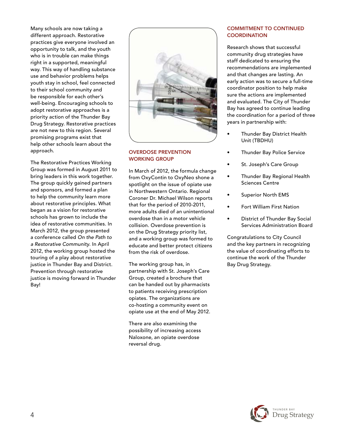Many schools are now taking a different approach. Restorative practices give everyone involved an opportunity to talk, and the youth who is in trouble can make things right in a supported, meaningful way. This way of handling substance use and behavior problems helps youth stay in school, feel connected to their school community and be responsible for each other's well-being. Encouraging schools to adopt restorative approaches is a priority action of the Thunder Bay Drug Strategy. Restorative practices are not new to this region. Several promising programs exist that help other schools learn about the approach.

The Restorative Practices Working Group was formed in August 2011 to bring leaders in this work together. The group quickly gained partners and sponsors, and formed a plan to help the community learn more about restorative principles. What began as a vision for restorative schools has grown to include the idea of restorative communities. In March 2012, the group presented a conference called *On the Path to a Restorative Community*. In April 2012, the working group hosted the touring of a play about restorative justice in Thunder Bay and District. Prevention through restorative justice is moving forward in Thunder Bay!



# Overdose Prevention Working Group

In March of 2012, the formula change from OxyContin to OxyNeo shone a spotlight on the issue of opiate use in Northwestern Ontario. Regional Coroner Dr. Michael Wilson reports that for the period of 2010-2011, more adults died of an unintentional overdose than in a motor vehicle collision. Overdose prevention is on the Drug Strategy priority list, and a working group was formed to educate and better protect citizens from the risk of overdose.

The working group has, in partnership with St. Joseph's Care Group, created a brochure that can be handed out by pharmacists to patients receiving prescription opiates. The organizations are co-hosting a community event on opiate use at the end of May 2012.

There are also examining the possibility of increasing access Naloxone, an opiate overdose reversal drug.

# Commitment to continued **COORDINATION**

Research shows that successful community drug strategies have staff dedicated to ensuring the recommendations are implemented and that changes are lasting. An early action was to secure a full-time coordinator position to help make sure the actions are implemented and evaluated. The City of Thunder Bay has agreed to continue leading the coordination for a period of three years in partnership with:

- Thunder Bay District Health Unit (TBDHU)
- Thunder Bay Police Service
- St. Joseph's Care Group
- Thunder Bay Regional Health Sciences Centre
- Superior North EMS
- Fort William First Nation
- District of Thunder Bay Social Services Administration Board

Congratulations to City Council and the key partners in recognizing the value of coordinating efforts to continue the work of the Thunder Bay Drug Strategy.

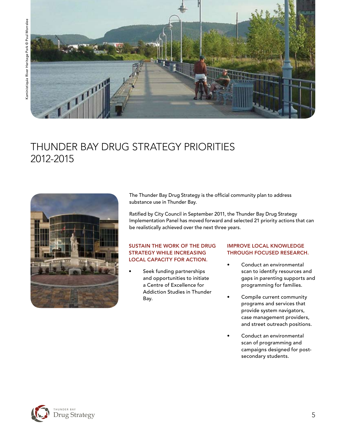

# THUNDER BAY DRUG STRATEGY Priorities 2012-2015



The Thunder Bay Drug Strategy is the official community plan to address substance use in Thunder Bay.

Ratified by City Council in September 2011, the Thunder Bay Drug Strategy Implementation Panel has moved forward and selected 21 priority actions that can be realistically achieved over the next three years.

#### Sustain the work of the Drug Strategy while increasing local capacity for action.

Seek funding partnerships and opportunities to initiate a Centre of Excellence for Addiction Studies in Thunder Bay.

# Improve local knowledge through focused research.

- Conduct an environmental scan to identify resources and gaps in parenting supports and programming for families.
- Compile current community programs and services that provide system navigators, case management providers, and street outreach positions.
- Conduct an environmental scan of programming and campaigns designed for postsecondary students.

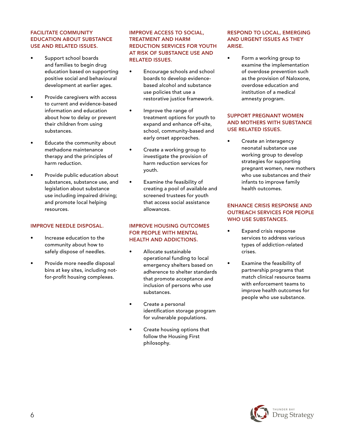## Facilitate community education about substance use and related issues.

- Support school boards and families to begin drug education based on supporting positive social and behavioural development at earlier ages.
- Provide caregivers with access to current and evidence-based information and education about how to delay or prevent their children from using substances.
- Educate the community about methadone maintenance therapy and the principles of harm reduction.
- Provide public education about substances, substance use, and legislation about substance use including impaired driving; and promote local helping resources.

#### Improve needle disposal.

- Increase education to the community about how to safely dispose of needles.
- Provide more needle disposal bins at key sites, including notfor-profit housing complexes.

#### Improve access to social, treatment and harm reduction services for youth at risk of substance use and related issues.

- Encourage schools and school boards to develop evidencebased alcohol and substance use policies that use a restorative justice framework.
- Improve the range of treatment options for youth to expand and enhance off-site, school, community-based and early onset approaches.
- Create a working group to investigate the provision of harm reduction services for youth.
- Examine the feasibility of creating a pool of available and screened trustees for youth that access social assistance allowances.

# Improve housing outcomes for people with mental health and addictions.

- Allocate sustainable operational funding to local emergency shelters based on adherence to shelter standards that promote acceptance and inclusion of persons who use substances.
- Create a personal identification storage program for vulnerable populations.
- Create housing options that follow the Housing First philosophy.

# Respond to local, emerging and urgent issues as they ARISE.

• Form a working group to examine the implementation of overdose prevention such as the provision of Naloxone, overdose education and institution of a medical amnesty program.

## Support pregnant women and mothers with substance use related issues.

• Create an interagency neonatal substance use working group to develop strategies for supporting pregnant women, new mothers who use substances and their infants to improve family health outcomes.

# Enhance crisis response and outreach services for people WHO USE SUBSTANCES.

- Expand crisis response services to address various types of addiction-related crises.
- Examine the feasibility of partnership programs that match clinical resource teams with enforcement teams to improve health outcomes for people who use substance.

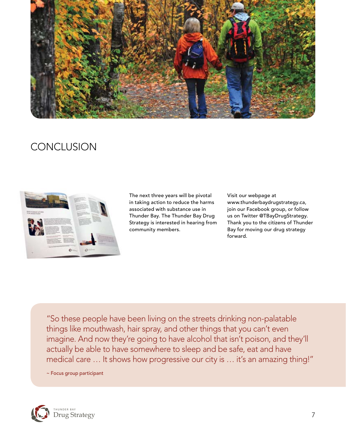

# **CONCLUSION**



The next three years will be pivotal in taking action to reduce the harms associated with substance use in Thunder Bay. The Thunder Bay Drug Strategy is interested in hearing from community members.

Visit our webpage at www.thunderbaydrugstrategy.ca, join our Facebook group, or follow us on Twitter @TBayDrugStrategy. Thank you to the citizens of Thunder Bay for moving our drug strategy forward.

"So these people have been living on the streets drinking non-palatable things like mouthwash, hair spray, and other things that you can't even imagine. And now they're going to have alcohol that isn't poison, and they'll actually be able to have somewhere to sleep and be safe, eat and have medical care ... It shows how progressive our city is ... it's an amazing thing!"

~ Focus group participant